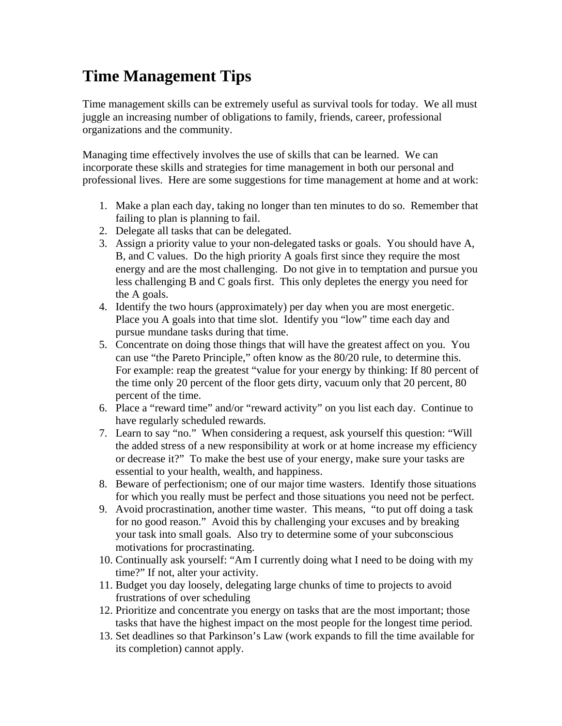## **Time Management Tips**

Time management skills can be extremely useful as survival tools for today. We all must juggle an increasing number of obligations to family, friends, career, professional organizations and the community.

Managing time effectively involves the use of skills that can be learned. We can incorporate these skills and strategies for time management in both our personal and professional lives. Here are some suggestions for time management at home and at work:

- 1. Make a plan each day, taking no longer than ten minutes to do so. Remember that failing to plan is planning to fail.
- 2. Delegate all tasks that can be delegated.
- 3. Assign a priority value to your non-delegated tasks or goals. You should have A, B, and C values. Do the high priority A goals first since they require the most energy and are the most challenging. Do not give in to temptation and pursue you less challenging B and C goals first. This only depletes the energy you need for the A goals.
- 4. Identify the two hours (approximately) per day when you are most energetic. Place you A goals into that time slot. Identify you "low" time each day and pursue mundane tasks during that time.
- 5. Concentrate on doing those things that will have the greatest affect on you. You can use "the Pareto Principle," often know as the 80/20 rule, to determine this. For example: reap the greatest "value for your energy by thinking: If 80 percent of the time only 20 percent of the floor gets dirty, vacuum only that 20 percent, 80 percent of the time.
- 6. Place a "reward time" and/or "reward activity" on you list each day. Continue to have regularly scheduled rewards.
- 7. Learn to say "no." When considering a request, ask yourself this question: "Will the added stress of a new responsibility at work or at home increase my efficiency or decrease it?" To make the best use of your energy, make sure your tasks are essential to your health, wealth, and happiness.
- 8. Beware of perfectionism; one of our major time wasters. Identify those situations for which you really must be perfect and those situations you need not be perfect.
- 9. Avoid procrastination, another time waster. This means, "to put off doing a task for no good reason." Avoid this by challenging your excuses and by breaking your task into small goals. Also try to determine some of your subconscious motivations for procrastinating.
- 10. Continually ask yourself: "Am I currently doing what I need to be doing with my time?" If not, alter your activity.
- 11. Budget you day loosely, delegating large chunks of time to projects to avoid frustrations of over scheduling
- 12. Prioritize and concentrate you energy on tasks that are the most important; those tasks that have the highest impact on the most people for the longest time period.
- 13. Set deadlines so that Parkinson's Law (work expands to fill the time available for its completion) cannot apply.